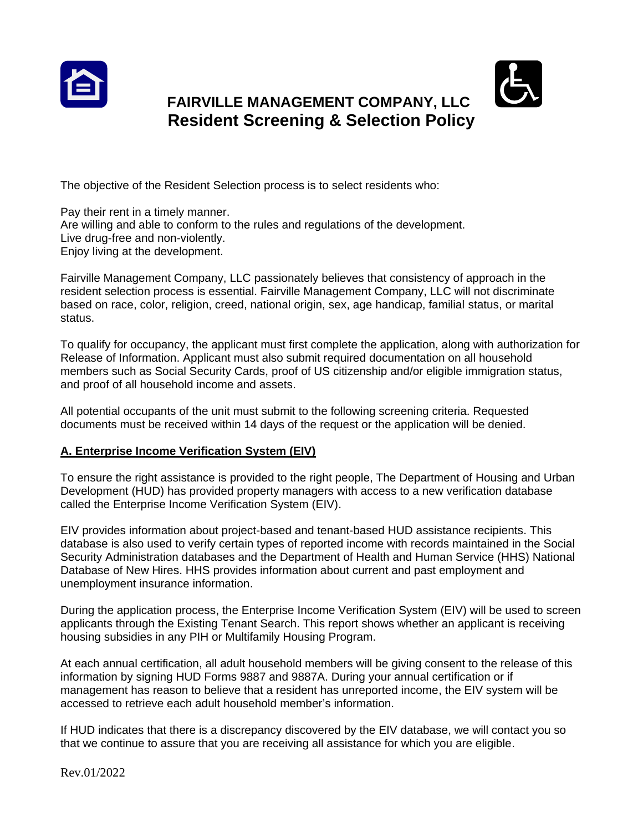



# **FAIRVILLE MANAGEMENT COMPANY, LLC Resident Screening & Selection Policy**

The objective of the Resident Selection process is to select residents who:

Pay their rent in a timely manner. Are willing and able to conform to the rules and regulations of the development. Live drug-free and non-violently. Enjoy living at the development.

Fairville Management Company, LLC passionately believes that consistency of approach in the resident selection process is essential. Fairville Management Company, LLC will not discriminate based on race, color, religion, creed, national origin, sex, age handicap, familial status, or marital status.

To qualify for occupancy, the applicant must first complete the application, along with authorization for Release of Information. Applicant must also submit required documentation on all household members such as Social Security Cards, proof of US citizenship and/or eligible immigration status, and proof of all household income and assets.

All potential occupants of the unit must submit to the following screening criteria. Requested documents must be received within 14 days of the request or the application will be denied.

# **A. Enterprise Income Verification System (EIV)**

To ensure the right assistance is provided to the right people, The Department of Housing and Urban Development (HUD) has provided property managers with access to a new verification database called the Enterprise Income Verification System (EIV).

EIV provides information about project-based and tenant-based HUD assistance recipients. This database is also used to verify certain types of reported income with records maintained in the Social Security Administration databases and the Department of Health and Human Service (HHS) National Database of New Hires. HHS provides information about current and past employment and unemployment insurance information.

During the application process, the Enterprise Income Verification System (EIV) will be used to screen applicants through the Existing Tenant Search. This report shows whether an applicant is receiving housing subsidies in any PIH or Multifamily Housing Program.

At each annual certification, all adult household members will be giving consent to the release of this information by signing HUD Forms 9887 and 9887A. During your annual certification or if management has reason to believe that a resident has unreported income, the EIV system will be accessed to retrieve each adult household member's information.

If HUD indicates that there is a discrepancy discovered by the EIV database, we will contact you so that we continue to assure that you are receiving all assistance for which you are eligible.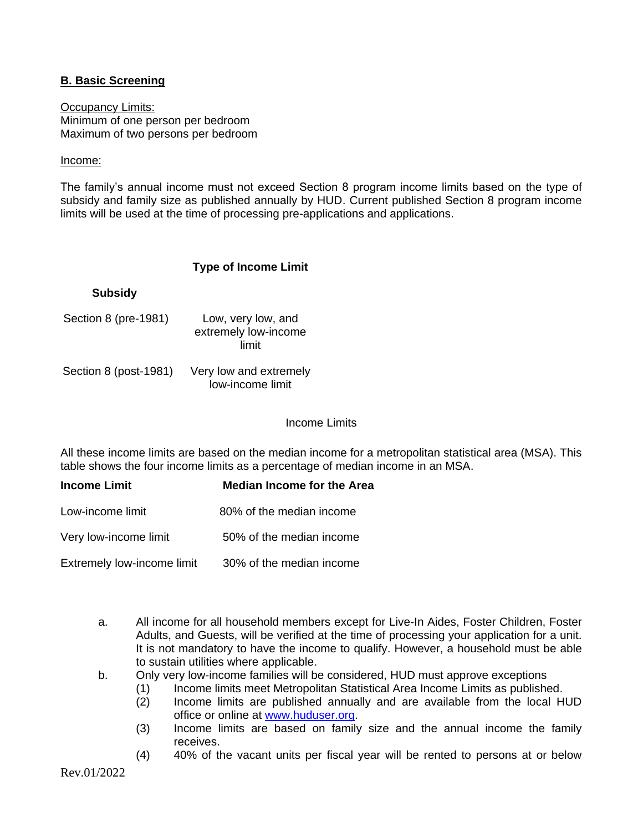## **B. Basic Screening**

**Occupancy Limits:** Minimum of one person per bedroom Maximum of two persons per bedroom

#### Income:

The family's annual income must not exceed Section 8 program income limits based on the type of subsidy and family size as published annually by HUD. Current published Section 8 program income limits will be used at the time of processing pre-applications and applications.

#### **Type of Income Limit**

| <b>Subsidy</b>        |                                                     |
|-----------------------|-----------------------------------------------------|
| Section 8 (pre-1981)  | Low, very low, and<br>extremely low-income<br>limit |
| Section 8 (post-1981) | Very low and extremely<br>low-income limit          |

#### Income Limits

All these income limits are based on the median income for a metropolitan statistical area (MSA). This table shows the four income limits as a percentage of median income in an MSA.

| <b>Income Limit</b>        | <b>Median Income for the Area</b> |
|----------------------------|-----------------------------------|
| Low-income limit           | 80% of the median income          |
| Very low-income limit      | 50% of the median income          |
| Extremely low-income limit | 30% of the median income          |

- a. All income for all household members except for Live-In Aides, Foster Children, Foster Adults, and Guests, will be verified at the time of processing your application for a unit. It is not mandatory to have the income to qualify. However, a household must be able to sustain utilities where applicable.
- b. Only very low-income families will be considered, HUD must approve exceptions
	- (1) Income limits meet Metropolitan Statistical Area Income Limits as published.
		- (2) Income limits are published annually and are available from the local HUD office or online at [www.huduser.org.](http://www.huduser.org/)
		- (3) Income limits are based on family size and the annual income the family receives.
		- (4) 40% of the vacant units per fiscal year will be rented to persons at or below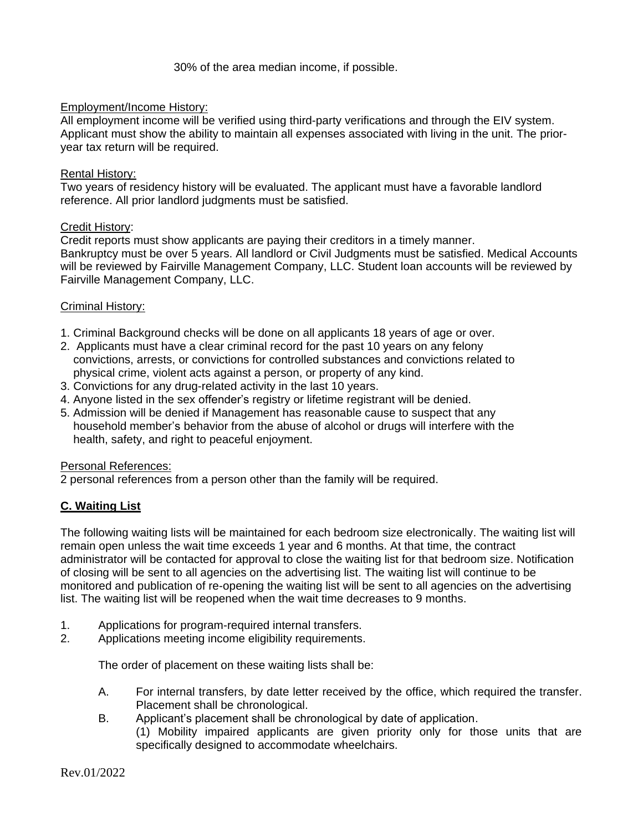30% of the area median income, if possible.

## Employment/Income History:

All employment income will be verified using third-party verifications and through the EIV system. Applicant must show the ability to maintain all expenses associated with living in the unit. The prioryear tax return will be required.

#### Rental History:

Two years of residency history will be evaluated. The applicant must have a favorable landlord reference. All prior landlord judgments must be satisfied.

#### Credit History:

Credit reports must show applicants are paying their creditors in a timely manner. Bankruptcy must be over 5 years. All landlord or Civil Judgments must be satisfied. Medical Accounts will be reviewed by Fairville Management Company, LLC. Student loan accounts will be reviewed by Fairville Management Company, LLC.

#### Criminal History:

- 1. Criminal Background checks will be done on all applicants 18 years of age or over.
- 2. Applicants must have a clear criminal record for the past 10 years on any felony convictions, arrests, or convictions for controlled substances and convictions related to physical crime, violent acts against a person, or property of any kind.
- 3. Convictions for any drug-related activity in the last 10 years.
- 4. Anyone listed in the sex offender's registry or lifetime registrant will be denied.
- 5. Admission will be denied if Management has reasonable cause to suspect that any household member's behavior from the abuse of alcohol or drugs will interfere with the health, safety, and right to peaceful enjoyment.

#### Personal References:

2 personal references from a person other than the family will be required.

## **C. Waiting List**

The following waiting lists will be maintained for each bedroom size electronically. The waiting list will remain open unless the wait time exceeds 1 year and 6 months. At that time, the contract administrator will be contacted for approval to close the waiting list for that bedroom size. Notification of closing will be sent to all agencies on the advertising list. The waiting list will continue to be monitored and publication of re-opening the waiting list will be sent to all agencies on the advertising list. The waiting list will be reopened when the wait time decreases to 9 months.

- 1. Applications for program-required internal transfers.
- 2. Applications meeting income eligibility requirements.

The order of placement on these waiting lists shall be:

- A. For internal transfers, by date letter received by the office, which required the transfer. Placement shall be chronological.
- B. Applicant's placement shall be chronological by date of application.
	- (1) Mobility impaired applicants are given priority only for those units that are specifically designed to accommodate wheelchairs.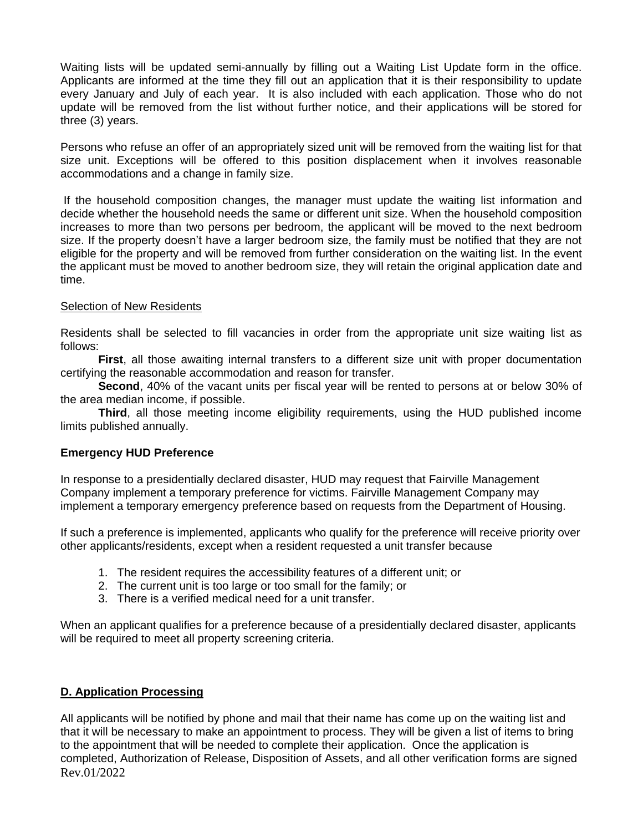Waiting lists will be updated semi-annually by filling out a Waiting List Update form in the office. Applicants are informed at the time they fill out an application that it is their responsibility to update every January and July of each year. It is also included with each application. Those who do not update will be removed from the list without further notice, and their applications will be stored for three (3) years.

Persons who refuse an offer of an appropriately sized unit will be removed from the waiting list for that size unit. Exceptions will be offered to this position displacement when it involves reasonable accommodations and a change in family size.

If the household composition changes, the manager must update the waiting list information and decide whether the household needs the same or different unit size. When the household composition increases to more than two persons per bedroom, the applicant will be moved to the next bedroom size. If the property doesn't have a larger bedroom size, the family must be notified that they are not eligible for the property and will be removed from further consideration on the waiting list. In the event the applicant must be moved to another bedroom size, they will retain the original application date and time.

#### Selection of New Residents

Residents shall be selected to fill vacancies in order from the appropriate unit size waiting list as follows:

**First**, all those awaiting internal transfers to a different size unit with proper documentation certifying the reasonable accommodation and reason for transfer.

**Second**, 40% of the vacant units per fiscal year will be rented to persons at or below 30% of the area median income, if possible.

**Third**, all those meeting income eligibility requirements, using the HUD published income limits published annually.

## **Emergency HUD Preference**

In response to a presidentially declared disaster, HUD may request that Fairville Management Company implement a temporary preference for victims. Fairville Management Company may implement a temporary emergency preference based on requests from the Department of Housing.

If such a preference is implemented, applicants who qualify for the preference will receive priority over other applicants/residents, except when a resident requested a unit transfer because

- 1. The resident requires the accessibility features of a different unit; or
- 2. The current unit is too large or too small for the family; or
- 3. There is a verified medical need for a unit transfer.

When an applicant qualifies for a preference because of a presidentially declared disaster, applicants will be required to meet all property screening criteria.

## **D. Application Processing**

Rev.01/2022 All applicants will be notified by phone and mail that their name has come up on the waiting list and that it will be necessary to make an appointment to process. They will be given a list of items to bring to the appointment that will be needed to complete their application. Once the application is completed, Authorization of Release, Disposition of Assets, and all other verification forms are signed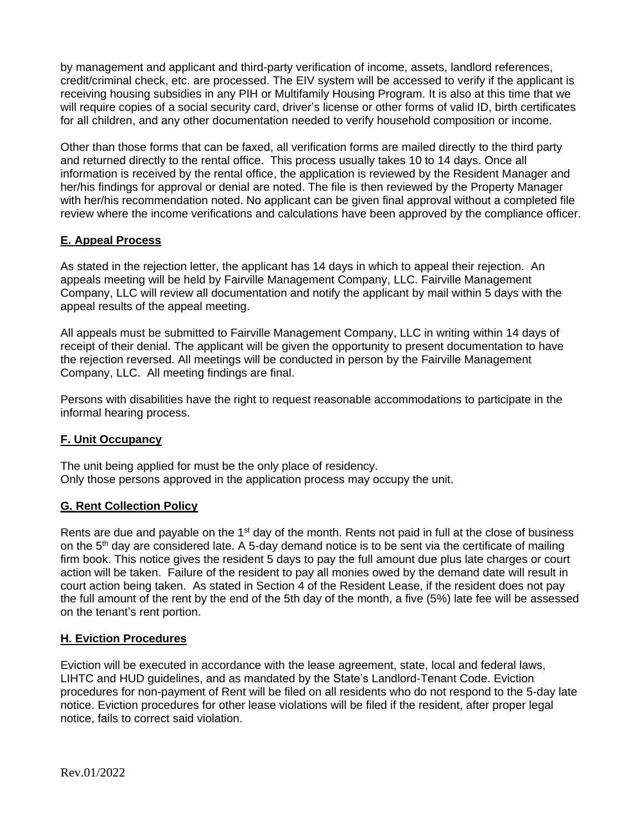by management and applicant and third-party verification of income, assets, landlord references, credit/criminal check, etc. are processed. The EIV system will be accessed to verify if the applicant is receiving housing subsidies in any PIH or Multifamily Housing Program. It is also at this time that we will require copies of a social security card, driver's license or other forms of valid ID, birth certificates for all children, and any other documentation needed to verify household composition or income.

Other than those forms that can be faxed, all verification forms are mailed directly to the third party and returned directly to the rental office. This process usually takes 10 to 14 days. Once all information is received by the rental office, the application is reviewed by the Resident Manager and her/his findings for approval or denial are noted. The file is then reviewed by the Property Manager with her/his recommendation noted. No applicant can be given final approval without a completed file review where the income verifications and calculations have been approved by the compliance officer.

# **E. Appeal Process**

As stated in the rejection letter, the applicant has 14 days in which to appeal their rejection. An appeals meeting will be held by Fairville Management Company, LLC. Fairville Management Company, LLC will review all documentation and notify the applicant by mail within 5 days with the appeal results of the appeal meeting.

All appeals must be submitted to Fairville Management Company, LLC in writing within 14 days of receipt of their denial. The applicant will be given the opportunity to present documentation to have the rejection reversed. All meetings will be conducted in person by the Fairville Management Company, LLC. All meeting findings are final.

Persons with disabilities have the right to request reasonable accommodations to participate in the informal hearing process.

## **F. Unit Occupancy**

The unit being applied for must be the only place of residency. Only those persons approved in the application process may occupy the unit.

## **G. Rent Collection Policy**

Rents are due and payable on the 1<sup>st</sup> day of the month. Rents not paid in full at the close of business on the 5th day are considered late. A 5-day demand notice is to be sent via the certificate of mailing firm book. This notice gives the resident 5 days to pay the full amount due plus late charges or court action will be taken. Failure of the resident to pay all monies owed by the demand date will result in court action being taken. As stated in Section 4 of the Resident Lease, if the resident does not pay the full amount of the rent by the end of the 5th day of the month, a five (5%) late fee will be assessed on the tenant's rent portion.

## **H. Eviction Procedures**

Eviction will be executed in accordance with the lease agreement, state, local and federal laws, LIHTC and HUD guidelines, and as mandated by the State's Landlord-Tenant Code. Eviction procedures for non-payment of Rent will be filed on all residents who do not respond to the 5-day late notice. Eviction procedures for other lease violations will be filed if the resident, after proper legal notice, fails to correct said violation.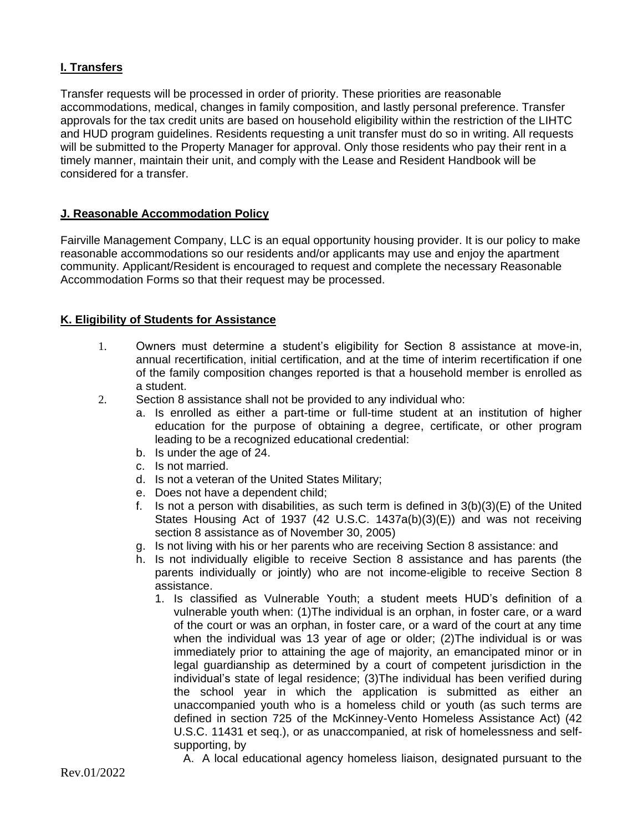# **I. Transfers**

Transfer requests will be processed in order of priority. These priorities are reasonable accommodations, medical, changes in family composition, and lastly personal preference. Transfer approvals for the tax credit units are based on household eligibility within the restriction of the LIHTC and HUD program guidelines. Residents requesting a unit transfer must do so in writing. All requests will be submitted to the Property Manager for approval. Only those residents who pay their rent in a timely manner, maintain their unit, and comply with the Lease and Resident Handbook will be considered for a transfer.

## **J. Reasonable Accommodation Policy**

Fairville Management Company, LLC is an equal opportunity housing provider. It is our policy to make reasonable accommodations so our residents and/or applicants may use and enjoy the apartment community. Applicant/Resident is encouraged to request and complete the necessary Reasonable Accommodation Forms so that their request may be processed.

#### **K. Eligibility of Students for Assistance**

- 1. Owners must determine a student's eligibility for Section 8 assistance at move-in, annual recertification, initial certification, and at the time of interim recertification if one of the family composition changes reported is that a household member is enrolled as a student.
- 2. Section 8 assistance shall not be provided to any individual who:
	- a. Is enrolled as either a part-time or full-time student at an institution of higher education for the purpose of obtaining a degree, certificate, or other program leading to be a recognized educational credential:
	- b. Is under the age of 24.
	- c. Is not married.
	- d. Is not a veteran of the United States Military;
	- e. Does not have a dependent child;
	- f. Is not a person with disabilities, as such term is defined in  $3(b)(3)(E)$  of the United States Housing Act of 1937 (42 U.S.C. 1437a(b)(3)(E)) and was not receiving section 8 assistance as of November 30, 2005)
	- g. Is not living with his or her parents who are receiving Section 8 assistance: and
	- h. Is not individually eligible to receive Section 8 assistance and has parents (the parents individually or jointly) who are not income-eligible to receive Section 8 assistance.
		- 1. Is classified as Vulnerable Youth; a student meets HUD's definition of a vulnerable youth when: (1)The individual is an orphan, in foster care, or a ward of the court or was an orphan, in foster care, or a ward of the court at any time when the individual was 13 year of age or older; (2)The individual is or was immediately prior to attaining the age of majority, an emancipated minor or in legal guardianship as determined by a court of competent jurisdiction in the individual's state of legal residence; (3)The individual has been verified during the school year in which the application is submitted as either an unaccompanied youth who is a homeless child or youth (as such terms are defined in section 725 of the McKinney-Vento Homeless Assistance Act) (42 U.S.C. 11431 et seq.), or as unaccompanied, at risk of homelessness and selfsupporting, by
			- A. A local educational agency homeless liaison, designated pursuant to the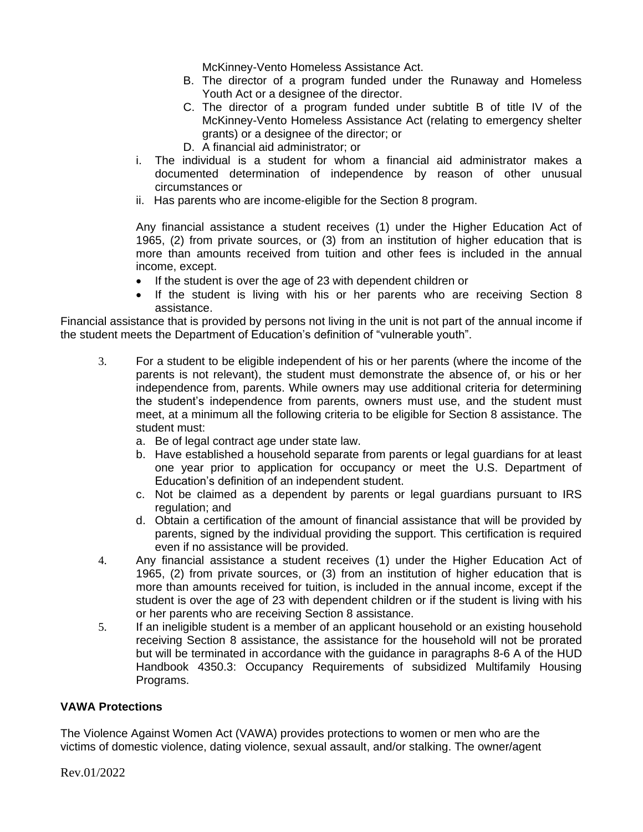McKinney-Vento Homeless Assistance Act.

- B. The director of a program funded under the Runaway and Homeless Youth Act or a designee of the director.
- C. The director of a program funded under subtitle B of title IV of the McKinney-Vento Homeless Assistance Act (relating to emergency shelter grants) or a designee of the director; or
- D. A financial aid administrator; or
- i. The individual is a student for whom a financial aid administrator makes a documented determination of independence by reason of other unusual circumstances or
- ii. Has parents who are income-eligible for the Section 8 program.

Any financial assistance a student receives (1) under the Higher Education Act of 1965, (2) from private sources, or (3) from an institution of higher education that is more than amounts received from tuition and other fees is included in the annual income, except.

- If the student is over the age of 23 with dependent children or
- If the student is living with his or her parents who are receiving Section 8 assistance.

Financial assistance that is provided by persons not living in the unit is not part of the annual income if the student meets the Department of Education's definition of "vulnerable youth".

- 3. For a student to be eligible independent of his or her parents (where the income of the parents is not relevant), the student must demonstrate the absence of, or his or her independence from, parents. While owners may use additional criteria for determining the student's independence from parents, owners must use, and the student must meet, at a minimum all the following criteria to be eligible for Section 8 assistance. The student must:
	- a. Be of legal contract age under state law.
	- b. Have established a household separate from parents or legal guardians for at least one year prior to application for occupancy or meet the U.S. Department of Education's definition of an independent student.
	- c. Not be claimed as a dependent by parents or legal guardians pursuant to IRS regulation; and
	- d. Obtain a certification of the amount of financial assistance that will be provided by parents, signed by the individual providing the support. This certification is required even if no assistance will be provided.
- 4. Any financial assistance a student receives (1) under the Higher Education Act of 1965, (2) from private sources, or (3) from an institution of higher education that is more than amounts received for tuition, is included in the annual income, except if the student is over the age of 23 with dependent children or if the student is living with his or her parents who are receiving Section 8 assistance.
- 5. If an ineligible student is a member of an applicant household or an existing household receiving Section 8 assistance, the assistance for the household will not be prorated but will be terminated in accordance with the guidance in paragraphs 8-6 A of the HUD Handbook 4350.3: Occupancy Requirements of subsidized Multifamily Housing Programs.

# **VAWA Protections**

The Violence Against Women Act (VAWA) provides protections to women or men who are the victims of domestic violence, dating violence, sexual assault, and/or stalking. The owner/agent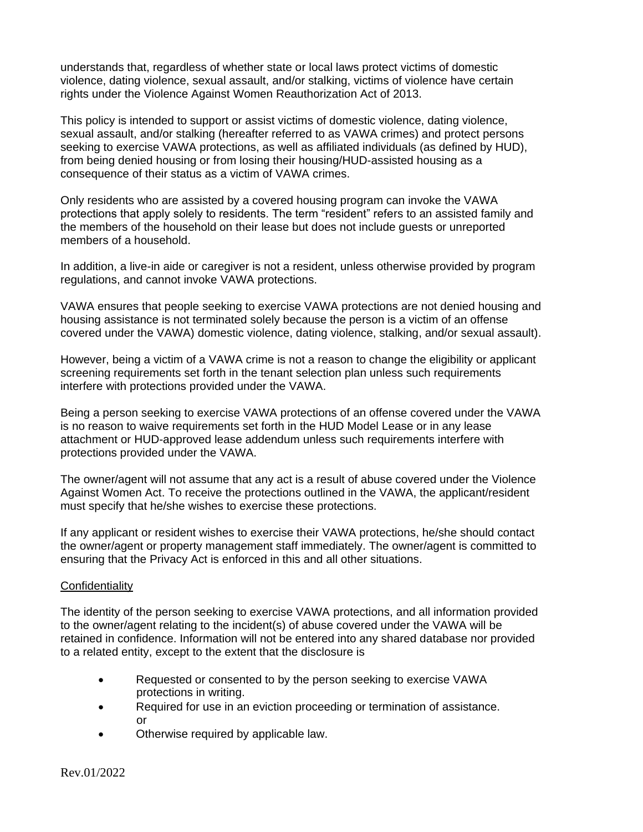understands that, regardless of whether state or local laws protect victims of domestic violence, dating violence, sexual assault, and/or stalking, victims of violence have certain rights under the Violence Against Women Reauthorization Act of 2013.

This policy is intended to support or assist victims of domestic violence, dating violence, sexual assault, and/or stalking (hereafter referred to as VAWA crimes) and protect persons seeking to exercise VAWA protections, as well as affiliated individuals (as defined by HUD), from being denied housing or from losing their housing/HUD-assisted housing as a consequence of their status as a victim of VAWA crimes.

Only residents who are assisted by a covered housing program can invoke the VAWA protections that apply solely to residents. The term "resident" refers to an assisted family and the members of the household on their lease but does not include guests or unreported members of a household.

In addition, a live-in aide or caregiver is not a resident, unless otherwise provided by program regulations, and cannot invoke VAWA protections.

VAWA ensures that people seeking to exercise VAWA protections are not denied housing and housing assistance is not terminated solely because the person is a victim of an offense covered under the VAWA) domestic violence, dating violence, stalking, and/or sexual assault).

However, being a victim of a VAWA crime is not a reason to change the eligibility or applicant screening requirements set forth in the tenant selection plan unless such requirements interfere with protections provided under the VAWA.

Being a person seeking to exercise VAWA protections of an offense covered under the VAWA is no reason to waive requirements set forth in the HUD Model Lease or in any lease attachment or HUD-approved lease addendum unless such requirements interfere with protections provided under the VAWA.

The owner/agent will not assume that any act is a result of abuse covered under the Violence Against Women Act. To receive the protections outlined in the VAWA, the applicant/resident must specify that he/she wishes to exercise these protections.

If any applicant or resident wishes to exercise their VAWA protections, he/she should contact the owner/agent or property management staff immediately. The owner/agent is committed to ensuring that the Privacy Act is enforced in this and all other situations.

## **Confidentiality**

The identity of the person seeking to exercise VAWA protections, and all information provided to the owner/agent relating to the incident(s) of abuse covered under the VAWA will be retained in confidence. Information will not be entered into any shared database nor provided to a related entity, except to the extent that the disclosure is

- Requested or consented to by the person seeking to exercise VAWA protections in writing.
- Required for use in an eviction proceeding or termination of assistance. or
- Otherwise required by applicable law.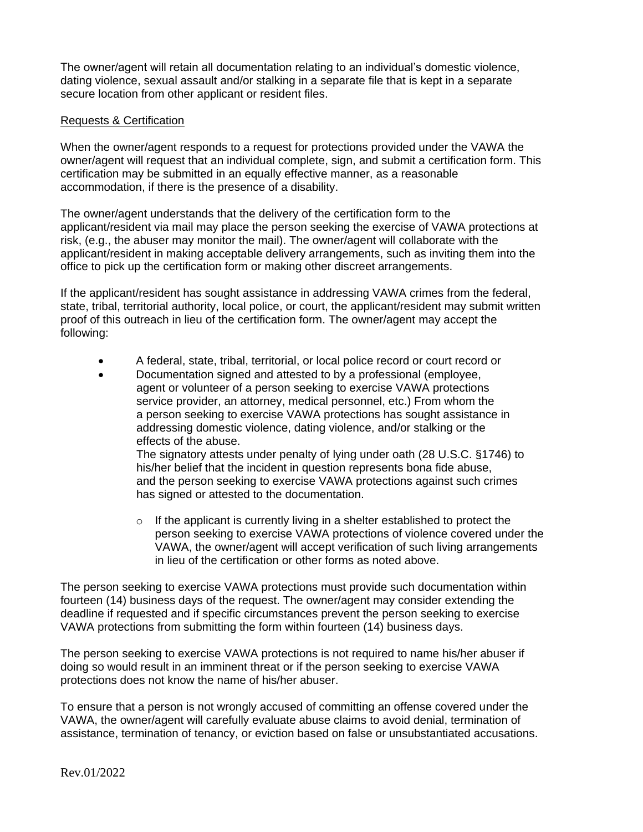The owner/agent will retain all documentation relating to an individual's domestic violence, dating violence, sexual assault and/or stalking in a separate file that is kept in a separate secure location from other applicant or resident files.

## Requests & Certification

When the owner/agent responds to a request for protections provided under the VAWA the owner/agent will request that an individual complete, sign, and submit a certification form. This certification may be submitted in an equally effective manner, as a reasonable accommodation, if there is the presence of a disability.

The owner/agent understands that the delivery of the certification form to the applicant/resident via mail may place the person seeking the exercise of VAWA protections at risk, (e.g., the abuser may monitor the mail). The owner/agent will collaborate with the applicant/resident in making acceptable delivery arrangements, such as inviting them into the office to pick up the certification form or making other discreet arrangements.

If the applicant/resident has sought assistance in addressing VAWA crimes from the federal, state, tribal, territorial authority, local police, or court, the applicant/resident may submit written proof of this outreach in lieu of the certification form. The owner/agent may accept the following:

- A federal, state, tribal, territorial, or local police record or court record or
- Documentation signed and attested to by a professional (employee, agent or volunteer of a person seeking to exercise VAWA protections service provider, an attorney, medical personnel, etc.) From whom the a person seeking to exercise VAWA protections has sought assistance in addressing domestic violence, dating violence, and/or stalking or the effects of the abuse.

 The signatory attests under penalty of lying under oath (28 U.S.C. §1746) to his/her belief that the incident in question represents bona fide abuse, and the person seeking to exercise VAWA protections against such crimes has signed or attested to the documentation.

 $\circ$  If the applicant is currently living in a shelter established to protect the person seeking to exercise VAWA protections of violence covered under the VAWA, the owner/agent will accept verification of such living arrangements in lieu of the certification or other forms as noted above.

The person seeking to exercise VAWA protections must provide such documentation within fourteen (14) business days of the request. The owner/agent may consider extending the deadline if requested and if specific circumstances prevent the person seeking to exercise VAWA protections from submitting the form within fourteen (14) business days.

The person seeking to exercise VAWA protections is not required to name his/her abuser if doing so would result in an imminent threat or if the person seeking to exercise VAWA protections does not know the name of his/her abuser.

To ensure that a person is not wrongly accused of committing an offense covered under the VAWA, the owner/agent will carefully evaluate abuse claims to avoid denial, termination of assistance, termination of tenancy, or eviction based on false or unsubstantiated accusations.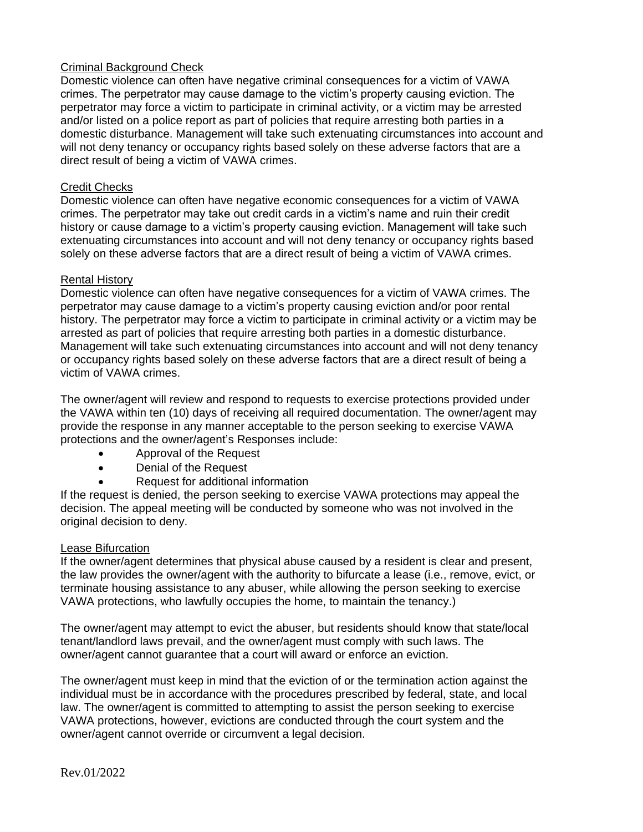## Criminal Background Check

Domestic violence can often have negative criminal consequences for a victim of VAWA crimes. The perpetrator may cause damage to the victim's property causing eviction. The perpetrator may force a victim to participate in criminal activity, or a victim may be arrested and/or listed on a police report as part of policies that require arresting both parties in a domestic disturbance. Management will take such extenuating circumstances into account and will not deny tenancy or occupancy rights based solely on these adverse factors that are a direct result of being a victim of VAWA crimes.

## Credit Checks

Domestic violence can often have negative economic consequences for a victim of VAWA crimes. The perpetrator may take out credit cards in a victim's name and ruin their credit history or cause damage to a victim's property causing eviction. Management will take such extenuating circumstances into account and will not deny tenancy or occupancy rights based solely on these adverse factors that are a direct result of being a victim of VAWA crimes.

#### Rental History

Domestic violence can often have negative consequences for a victim of VAWA crimes. The perpetrator may cause damage to a victim's property causing eviction and/or poor rental history. The perpetrator may force a victim to participate in criminal activity or a victim may be arrested as part of policies that require arresting both parties in a domestic disturbance. Management will take such extenuating circumstances into account and will not deny tenancy or occupancy rights based solely on these adverse factors that are a direct result of being a victim of VAWA crimes.

The owner/agent will review and respond to requests to exercise protections provided under the VAWA within ten (10) days of receiving all required documentation. The owner/agent may provide the response in any manner acceptable to the person seeking to exercise VAWA protections and the owner/agent's Responses include:

- Approval of the Request
- Denial of the Request
- Request for additional information

If the request is denied, the person seeking to exercise VAWA protections may appeal the decision. The appeal meeting will be conducted by someone who was not involved in the original decision to deny.

#### Lease Bifurcation

If the owner/agent determines that physical abuse caused by a resident is clear and present, the law provides the owner/agent with the authority to bifurcate a lease (i.e., remove, evict, or terminate housing assistance to any abuser, while allowing the person seeking to exercise VAWA protections, who lawfully occupies the home, to maintain the tenancy.)

The owner/agent may attempt to evict the abuser, but residents should know that state/local tenant/landlord laws prevail, and the owner/agent must comply with such laws. The owner/agent cannot guarantee that a court will award or enforce an eviction.

The owner/agent must keep in mind that the eviction of or the termination action against the individual must be in accordance with the procedures prescribed by federal, state, and local law. The owner/agent is committed to attempting to assist the person seeking to exercise VAWA protections, however, evictions are conducted through the court system and the owner/agent cannot override or circumvent a legal decision.